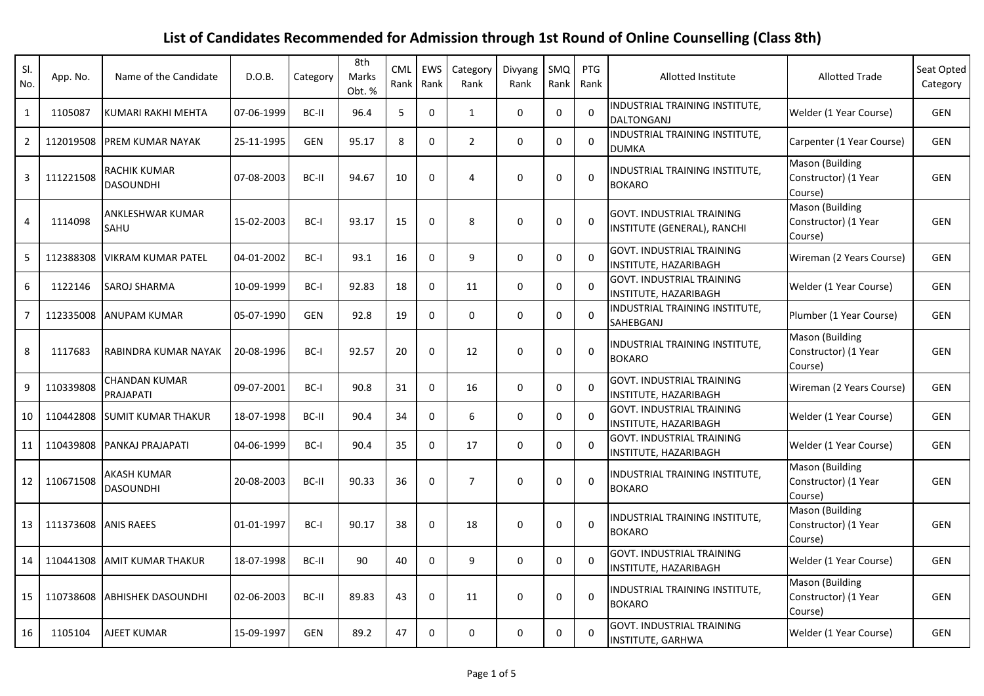## **List of Candidates Recommended for Admission through 1st Round of Online Counselling (Class 8th)**

| SI.<br>No.     | App. No.  | Name of the Candidate                   | D.O.B.     | Category   | 8th<br>Marks<br>Obt. % | CML<br>Rank | EWS<br>Rank  | Category<br>Rank | Divyang<br>Rank | SMQ<br>Rank  | <b>PTG</b><br>Rank | Allotted Institute                                               | <b>Allotted Trade</b>                                     | Seat Opted<br>Category |
|----------------|-----------|-----------------------------------------|------------|------------|------------------------|-------------|--------------|------------------|-----------------|--------------|--------------------|------------------------------------------------------------------|-----------------------------------------------------------|------------------------|
| $\mathbf{1}$   | 1105087   | KUMARI RAKHI MEHTA                      | 07-06-1999 | BC-II      | 96.4                   | 5           | $\mathbf 0$  | $\mathbf{1}$     | $\Omega$        | $\Omega$     | $\Omega$           | INDUSTRIAL TRAINING INSTITUTE,<br><b>DALTONGANJ</b>              | Welder (1 Year Course)                                    | <b>GEN</b>             |
| $\overline{2}$ | 112019508 | <b>PREM KUMAR NAYAK</b>                 | 25-11-1995 | <b>GEN</b> | 95.17                  | 8           | $\mathbf 0$  | $\overline{2}$   | $\mathbf 0$     | 0            | $\Omega$           | INDUSTRIAL TRAINING INSTITUTE,<br><b>DUMKA</b>                   | Carpenter (1 Year Course)                                 | <b>GEN</b>             |
| 3              | 111221508 | <b>RACHIK KUMAR</b><br><b>DASOUNDHI</b> | 07-08-2003 | BC-II      | 94.67                  | 10          | 0            | 4                | $\mathbf 0$     | 0            | $\mathbf 0$        | <b>INDUSTRIAL TRAINING INSTITUTE,</b><br><b>BOKARO</b>           | Mason (Building<br>Constructor) (1 Year<br>Course)        | <b>GEN</b>             |
| 4              | 1114098   | ANKLESHWAR KUMAR<br>SAHU                | 15-02-2003 | BC-I       | 93.17                  | 15          | 0            | 8                | 0               | 0            | $\Omega$           | <b>GOVT. INDUSTRIAL TRAINING</b><br>INSTITUTE (GENERAL), RANCHI  | <b>Mason (Building</b><br>Constructor) (1 Year<br>Course) | GEN                    |
| 5              | 112388308 | <b>VIKRAM KUMAR PATEL</b>               | 04-01-2002 | BC-I       | 93.1                   | 16          | $\mathbf 0$  | 9                | $\Omega$        | $\Omega$     | $\Omega$           | <b>GOVT. INDUSTRIAL TRAINING</b><br><b>INSTITUTE, HAZARIBAGH</b> | Wireman (2 Years Course)                                  | <b>GEN</b>             |
| 6              | 1122146   | SAROJ SHARMA                            | 10-09-1999 | BC-I       | 92.83                  | 18          | 0            | 11               | 0               | $\mathbf{0}$ | $\Omega$           | <b>GOVT. INDUSTRIAL TRAINING</b><br>INSTITUTE, HAZARIBAGH        | Welder (1 Year Course)                                    | <b>GEN</b>             |
| $\overline{7}$ | 112335008 | <b>ANUPAM KUMAR</b>                     | 05-07-1990 | <b>GEN</b> | 92.8                   | 19          | $\mathbf 0$  | $\mathbf 0$      | $\mathbf 0$     | 0            | $\mathbf{0}$       | INDUSTRIAL TRAINING INSTITUTE,<br>SAHEBGANJ                      | Plumber (1 Year Course)                                   | <b>GEN</b>             |
| 8              | 1117683   | RABINDRA KUMAR NAYAK                    | 20-08-1996 | BC-I       | 92.57                  | 20          | $\Omega$     | 12               | $\Omega$        | $\Omega$     | $\Omega$           | <b>INDUSTRIAL TRAINING INSTITUTE,</b><br><b>BOKARO</b>           | Mason (Building<br>Constructor) (1 Year<br>Course)        | GEN                    |
| 9              | 110339808 | <b>CHANDAN KUMAR</b><br>PRAJAPATI       | 09-07-2001 | $BC-I$     | 90.8                   | 31          | $\Omega$     | 16               | $\mathbf 0$     | $\Omega$     | $\Omega$           | GOVT. INDUSTRIAL TRAINING<br>INSTITUTE, HAZARIBAGH               | Wireman (2 Years Course)                                  | <b>GEN</b>             |
| 10             | 110442808 | <b>SUMIT KUMAR THAKUR</b>               | 18-07-1998 | BC-II      | 90.4                   | 34          | $\mathbf 0$  | 6                | $\mathbf 0$     | $\mathbf 0$  | $\mathbf 0$        | <b>GOVT. INDUSTRIAL TRAINING</b><br><b>INSTITUTE, HAZARIBAGH</b> | Welder (1 Year Course)                                    | <b>GEN</b>             |
| 11             | 110439808 | PANKAJ PRAJAPATI                        | 04-06-1999 | BC-I       | 90.4                   | 35          | 0            | 17               | 0               | 0            | $\Omega$           | GOVT. INDUSTRIAL TRAINING<br>INSTITUTE, HAZARIBAGH               | Welder (1 Year Course)                                    | GEN                    |
| 12             | 110671508 | <b>AKASH KUMAR</b><br><b>DASOUNDHI</b>  | 20-08-2003 | BC-II      | 90.33                  | 36          | $\Omega$     | $\overline{7}$   | $\mathbf 0$     | $\Omega$     | $\mathbf{0}$       | INDUSTRIAL TRAINING INSTITUTE,<br><b>BOKARO</b>                  | Mason (Building<br>Constructor) (1 Year<br>Course)        | <b>GEN</b>             |
| 13             | 111373608 | <b>ANIS RAEES</b>                       | 01-01-1997 | BC-I       | 90.17                  | 38          | $\mathbf{0}$ | 18               | $\Omega$        | $\Omega$     | $\Omega$           | INDUSTRIAL TRAINING INSTITUTE,<br><b>BOKARO</b>                  | Mason (Building<br>Constructor) (1 Year<br>Course)        | <b>GEN</b>             |
| 14             | 110441308 | <b>AMIT KUMAR THAKUR</b>                | 18-07-1998 | BC-II      | 90                     | 40          | $\mathbf 0$  | 9                | $\mathbf 0$     | 0            | $\mathbf 0$        | GOVT. INDUSTRIAL TRAINING<br>INSTITUTE, HAZARIBAGH               | Welder (1 Year Course)                                    | GEN                    |
| 15             | 110738608 | <b>ABHISHEK DASOUNDHI</b>               | 02-06-2003 | BC-II      | 89.83                  | 43          | $\Omega$     | 11               | $\Omega$        | $\Omega$     | $\mathbf{0}$       | <b>NDUSTRIAL TRAINING INSTITUTE,</b><br><b>BOKARO</b>            | Mason (Building<br>Constructor) (1 Year<br>Course)        | <b>GEN</b>             |
| 16             | 1105104   | <b>AJEET KUMAR</b>                      | 15-09-1997 | <b>GEN</b> | 89.2                   | 47          | $\Omega$     | $\Omega$         | $\Omega$        | $\Omega$     | $\Omega$           | <b>GOVT. INDUSTRIAL TRAINING</b><br>INSTITUTE, GARHWA            | Welder (1 Year Course)                                    | GEN                    |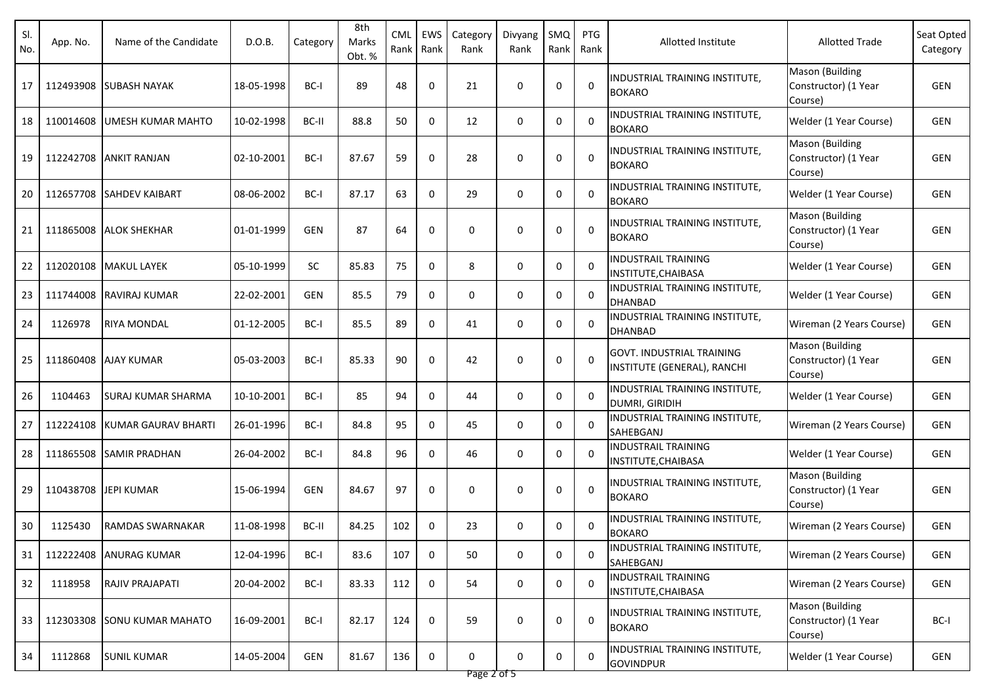| SI.<br>No. | App. No.  | Name of the Candidate     | D.O.B.     | Category   | 8th<br>Marks<br>Obt. % | <b>CML</b><br>Rank | EWS<br>Rank | Category<br>Rank | Divyang<br>Rank | SMQ<br>Rank | <b>PTG</b><br>Rank | Allotted Institute                                              | <b>Allotted Trade</b>                                     | Seat Opted<br>Category |
|------------|-----------|---------------------------|------------|------------|------------------------|--------------------|-------------|------------------|-----------------|-------------|--------------------|-----------------------------------------------------------------|-----------------------------------------------------------|------------------------|
| 17         | 112493908 | <b>SUBASH NAYAK</b>       | 18-05-1998 | BC-I       | 89                     | 48                 | 0           | 21               | 0               | 0           | $\Omega$           | INDUSTRIAL TRAINING INSTITUTE,<br><b>BOKARO</b>                 | Mason (Building<br>Constructor) (1 Year<br>Course)        | GEN                    |
| 18         | 110014608 | <b>UMESH KUMAR MAHTO</b>  | 10-02-1998 | BC-II      | 88.8                   | 50                 | 0           | 12               | $\mathbf 0$     | 0           | $\Omega$           | INDUSTRIAL TRAINING INSTITUTE,<br><b>BOKARO</b>                 | Welder (1 Year Course)                                    | GEN                    |
| 19         |           | 112242708 ANKIT RANJAN    | 02-10-2001 | BC-I       | 87.67                  | 59                 | 0           | 28               | 0               | 0           | $\mathbf 0$        | INDUSTRIAL TRAINING INSTITUTE,<br><b>BOKARO</b>                 | <b>Mason (Building</b><br>Constructor) (1 Year<br>Course) | GEN                    |
| 20         |           | 112657708 ISAHDEV KAIBART | 08-06-2002 | BC-I       | 87.17                  | 63                 | 0           | 29               | $\mathbf 0$     | 0           | $\Omega$           | INDUSTRIAL TRAINING INSTITUTE,<br><b>BOKARO</b>                 | Welder (1 Year Course)                                    | <b>GEN</b>             |
| 21         | 111865008 | <b>ALOK SHEKHAR</b>       | 01-01-1999 | GEN        | 87                     | 64                 | 0           | 0                | 0               | 0           | $\mathbf 0$        | INDUSTRIAL TRAINING INSTITUTE,<br><b>BOKARO</b>                 | Mason (Building<br>Constructor) (1 Year<br>Course)        | GEN                    |
| 22         |           | 112020108 MAKUL LAYEK     | 05-10-1999 | <b>SC</b>  | 85.83                  | 75                 | $\Omega$    | 8                | 0               | $\Omega$    | $\Omega$           | <b>INDUSTRAIL TRAINING</b><br>INSTITUTE, CHAIBASA               | Welder (1 Year Course)                                    | GEN                    |
| 23         |           | 111744008 RAVIRAJ KUMAR   | 22-02-2001 | GEN        | 85.5                   | 79                 | 0           | 0                | $\mathbf 0$     | 0           | 0                  | INDUSTRIAL TRAINING INSTITUTE,<br><b>DHANBAD</b>                | Welder (1 Year Course)                                    | GEN                    |
| 24         | 1126978   | <b>RIYA MONDAL</b>        | 01-12-2005 | BC-I       | 85.5                   | 89                 | 0           | 41               | 0               | 0           | 0                  | INDUSTRIAL TRAINING INSTITUTE,<br>DHANBAD                       | Wireman (2 Years Course)                                  | GEN                    |
| 25         |           | 111860408 AJAY KUMAR      | 05-03-2003 | BC-I       | 85.33                  | 90                 | 0           | 42               | $\mathbf 0$     | 0           | $\Omega$           | <b>GOVT. INDUSTRIAL TRAINING</b><br>INSTITUTE (GENERAL), RANCHI | Mason (Building<br>Constructor) (1 Year<br>Course)        | GEN                    |
| 26         | 1104463   | <b>SURAJ KUMAR SHARMA</b> | 10-10-2001 | BC-I       | 85                     | 94                 | 0           | 44               | 0               | 0           | $\Omega$           | INDUSTRIAL TRAINING INSTITUTE,<br>DUMRI, GIRIDIH                | Welder (1 Year Course)                                    | GEN                    |
| 27         | 112224108 | KUMAR GAURAV BHARTI       | 26-01-1996 | BC-I       | 84.8                   | 95                 | 0           | 45               | 0               | 0           | $\mathbf 0$        | INDUSTRIAL TRAINING INSTITUTE,<br>SAHEBGANJ                     | Wireman (2 Years Course)                                  | <b>GEN</b>             |
| 28         | 111865508 | <b>SAMIR PRADHAN</b>      | 26-04-2002 | BC-I       | 84.8                   | 96                 | 0           | 46               | 0               | 0           | $\Omega$           | <b>INDUSTRAIL TRAINING</b><br>INSTITUTE, CHAIBASA               | Welder (1 Year Course)                                    | GEN                    |
| 29         |           | 110438708 JEPI KUMAR      | 15-06-1994 | <b>GEN</b> | 84.67                  | 97                 | 0           | 0                | 0               | 0           | $\Omega$           | <b>INDUSTRIAL TRAINING INSTITUTE,</b><br><b>BOKARO</b>          | Mason (Building<br>Constructor) (1 Year<br>Course)        | GEN                    |
| 30         | 1125430   | <b>RAMDAS SWARNAKAR</b>   | 11-08-1998 | BC-II      | 84.25                  | 102                | 0           | 23               | 0               | 0           | 0                  | INDUSTRIAL TRAINING INSTITUTE,<br><b>BOKARO</b>                 | Wireman (2 Years Course)                                  | GEN                    |
| 31         |           | 112222408 ANURAG KUMAR    | 12-04-1996 | BC-I       | 83.6                   | 107                | 0           | 50               | 0               | 0           | 0                  | INDUSTRIAL TRAINING INSTITUTE,<br>SAHEBGANJ                     | Wireman (2 Years Course)                                  | GEN                    |
| 32         | 1118958   | <b>RAJIV PRAJAPATI</b>    | 20-04-2002 | BC-I       | 83.33                  | 112                | 0           | 54               | 0               | 0           | 0                  | <b>INDUSTRAIL TRAINING</b><br>INSTITUTE, CHAIBASA               | Wireman (2 Years Course)                                  | GEN                    |
| 33         | 112303308 | <b>ISONU KUMAR MAHATO</b> | 16-09-2001 | BC-I       | 82.17                  | 124                | 0           | 59               | 0               | 0           | $\mathbf 0$        | INDUSTRIAL TRAINING INSTITUTE,<br><b>BOKARO</b>                 | Mason (Building<br>Constructor) (1 Year<br>Course)        | BC-I                   |
| 34         | 1112868   | <b>SUNIL KUMAR</b>        | 14-05-2004 | GEN        | 81.67                  | 136                | 0           | 0                | 0               | 0           | $\mathbf 0$        | INDUSTRIAL TRAINING INSTITUTE,<br><b>GOVINDPUR</b>              | Welder (1 Year Course)                                    | GEN                    |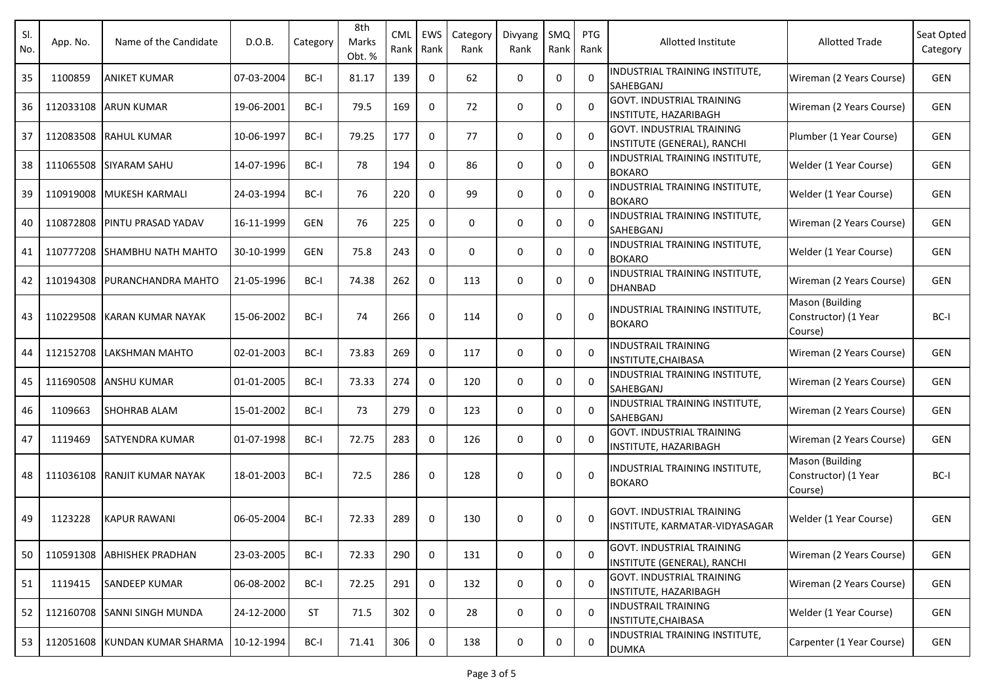| SI.<br>No. | App. No.  | Name of the Candidate         | D.O.B.     | Category   | 8th<br>Marks<br>Obt. % | <b>CML</b><br>Rank | EWS<br>Rank  | Category<br>Rank | Divyang<br>Rank | SMQ<br>Rank | <b>PTG</b><br>Rank | Allotted Institute                                                 | <b>Allotted Trade</b>                              | Seat Opted<br>Category |
|------------|-----------|-------------------------------|------------|------------|------------------------|--------------------|--------------|------------------|-----------------|-------------|--------------------|--------------------------------------------------------------------|----------------------------------------------------|------------------------|
| 35         | 1100859   | <b>ANIKET KUMAR</b>           | 07-03-2004 | BC-I       | 81.17                  | 139                | 0            | 62               | 0               | 0           | $\Omega$           | INDUSTRIAL TRAINING INSTITUTE,<br>SAHEBGANJ                        | Wireman (2 Years Course)                           | <b>GEN</b>             |
| 36         | 112033108 | <b>ARUN KUMAR</b>             | 19-06-2001 | BC-I       | 79.5                   | 169                | 0            | 72               | 0               | 0           | $\Omega$           | <b>GOVT. INDUSTRIAL TRAINING</b><br><b>INSTITUTE, HAZARIBAGH</b>   | Wireman (2 Years Course)                           | <b>GEN</b>             |
| 37         |           | 112083508 RAHUL KUMAR         | 10-06-1997 | BC-I       | 79.25                  | 177                | 0            | 77               | 0               | 0           | $\Omega$           | <b>GOVT. INDUSTRIAL TRAINING</b><br>INSTITUTE (GENERAL), RANCHI    | Plumber (1 Year Course)                            | <b>GEN</b>             |
| 38         |           | 111065508 SIYARAM SAHU        | 14-07-1996 | BC-I       | 78                     | 194                | 0            | 86               | 0               | 0           | $\Omega$           | <b>INDUSTRIAL TRAINING INSTITUTE.</b><br><b>BOKARO</b>             | Welder (1 Year Course)                             | <b>GEN</b>             |
| 39         |           | 110919008 MUKESH KARMALI      | 24-03-1994 | BC-I       | 76                     | 220                | 0            | 99               | 0               | 0           | $\Omega$           | INDUSTRIAL TRAINING INSTITUTE,<br><b>BOKARO</b>                    | Welder (1 Year Course)                             | <b>GEN</b>             |
| 40         | 110872808 | <b>PINTU PRASAD YADAV</b>     | 16-11-1999 | <b>GEN</b> | 76                     | 225                | 0            | 0                | 0               | 0           | $\Omega$           | INDUSTRIAL TRAINING INSTITUTE,<br>SAHEBGANJ                        | Wireman (2 Years Course)                           | <b>GEN</b>             |
| 41         | 110777208 | <b>SHAMBHU NATH MAHTO</b>     | 30-10-1999 | <b>GEN</b> | 75.8                   | 243                | 0            | 0                | 0               | 0           | 0                  | INDUSTRIAL TRAINING INSTITUTE,<br><b>BOKARO</b>                    | Welder (1 Year Course)                             | GEN                    |
| 42         |           | 110194308 PURANCHANDRA MAHTO  | 21-05-1996 | BC-I       | 74.38                  | 262                | 0            | 113              | 0               | 0           | 0                  | INDUSTRIAL TRAINING INSTITUTE,<br><b>DHANBAD</b>                   | Wireman (2 Years Course)                           | <b>GEN</b>             |
| 43         | 110229508 | IKARAN KUMAR NAYAK            | 15-06-2002 | BC-I       | 74                     | 266                | 0            | 114              | $\mathbf 0$     | $\Omega$    | 0                  | INDUSTRIAL TRAINING INSTITUTE,<br><b>BOKARO</b>                    | Mason (Building<br>Constructor) (1 Year<br>Course) | BC-I                   |
| 44         |           | 112152708 LAKSHMAN MAHTO      | 02-01-2003 | BC-I       | 73.83                  | 269                | 0            | 117              | $\mathbf 0$     | 0           | 0                  | <b>INDUSTRAIL TRAINING</b><br>INSTITUTE, CHAIBASA                  | Wireman (2 Years Course)                           | <b>GEN</b>             |
| 45         |           | 111690508 ANSHU KUMAR         | 01-01-2005 | BC-I       | 73.33                  | 274                | $\mathbf{0}$ | 120              | 0               | 0           | $\Omega$           | INDUSTRIAL TRAINING INSTITUTE,<br>SAHEBGANJ                        | Wireman (2 Years Course)                           | <b>GEN</b>             |
| 46         | 1109663   | <b>SHOHRAB ALAM</b>           | 15-01-2002 | BC-I       | 73                     | 279                | 0            | 123              | $\mathbf 0$     | 0           | $\Omega$           | INDUSTRIAL TRAINING INSTITUTE,<br>SAHEBGANJ                        | Wireman (2 Years Course)                           | <b>GEN</b>             |
| 47         | 1119469   | <b>SATYENDRA KUMAR</b>        | 01-07-1998 | BC-I       | 72.75                  | 283                | 0            | 126              | 0               | 0           | 0                  | <b>GOVT. INDUSTRIAL TRAINING</b><br>INSTITUTE, HAZARIBAGH          | Wireman (2 Years Course)                           | <b>GEN</b>             |
| 48         | 111036108 | <b>IRANJIT KUMAR NAYAK</b>    | 18-01-2003 | BC-I       | 72.5                   | 286                | 0            | 128              | 0               | 0           | $\Omega$           | INDUSTRIAL TRAINING INSTITUTE,<br><b>BOKARO</b>                    | Mason (Building<br>Constructor) (1 Year<br>Course) | BC-I                   |
| 49         | 1123228   | <b>KAPUR RAWANI</b>           | 06-05-2004 | BC-I       | 72.33                  | 289                | 0            | 130              | 0               | $\Omega$    | $\Omega$           | <b>GOVT. INDUSTRIAL TRAINING</b><br>INSTITUTE, KARMATAR-VIDYASAGAR | Welder (1 Year Course)                             | GEN                    |
| 50         |           | 110591308 ABHISHEK PRADHAN    | 23-03-2005 | BC-I       | 72.33                  | 290                | 0            | 131              | 0               | 0           | $\mathbf 0$        | <b>GOVT. INDUSTRIAL TRAINING</b><br>INSTITUTE (GENERAL), RANCHI    | Wireman (2 Years Course)                           | GEN                    |
| 51         | 1119415   | SANDEEP KUMAR                 | 06-08-2002 | BC-I       | 72.25                  | 291                | 0            | 132              | 0               | 0           | $\mathbf{0}$       | <b>GOVT. INDUSTRIAL TRAINING</b><br>INSTITUTE, HAZARIBAGH          | Wireman (2 Years Course)                           | GEN                    |
| 52         |           | 112160708 SANNI SINGH MUNDA   | 24-12-2000 | <b>ST</b>  | 71.5                   | 302                | 0            | 28               | 0               | 0           | $\Omega$           | <b>INDUSTRAIL TRAINING</b><br>INSTITUTE, CHAIBASA                  | Welder (1 Year Course)                             | GEN                    |
| 53         |           | 112051608 KUNDAN KUMAR SHARMA | 10-12-1994 | BC-I       | 71.41                  | 306                | 0            | 138              | 0               | 0           | 0                  | INDUSTRIAL TRAINING INSTITUTE,<br><b>DUMKA</b>                     | Carpenter (1 Year Course)                          | GEN                    |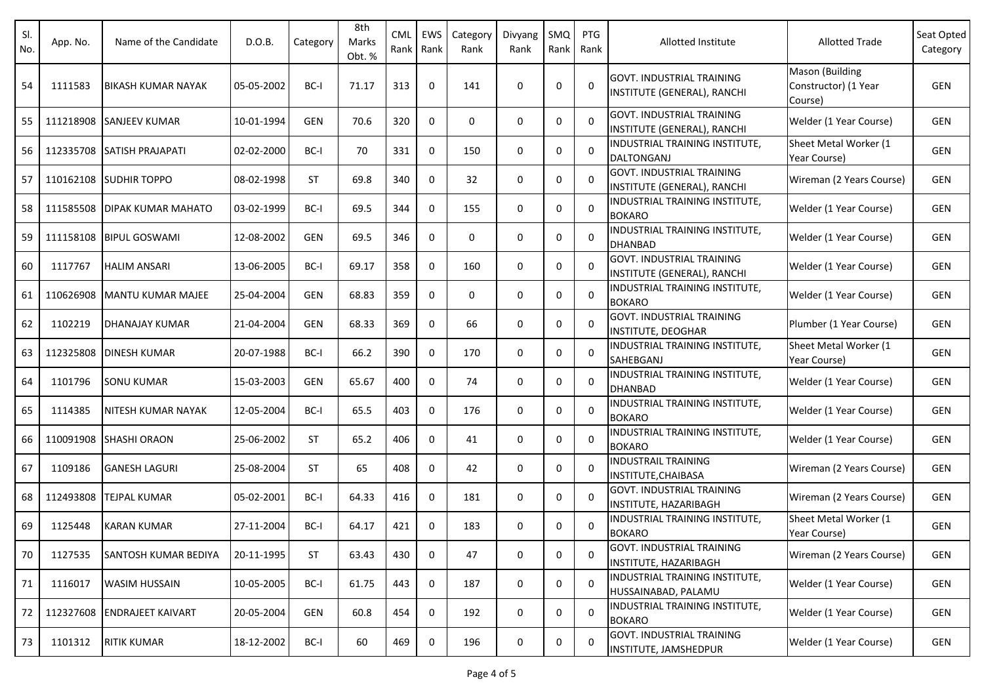| SI.<br>No. | App. No.  | Name of the Candidate       | D.O.B.     | Category   | 8th<br>Marks<br>Obt. % | CML<br>Rank | EWS<br>Rank | Category<br>Rank | Divyang<br>Rank | SMQ<br>Rank | <b>PTG</b><br>Rank | Allotted Institute                                              | <b>Allotted Trade</b>                              | Seat Opted<br>Category |
|------------|-----------|-----------------------------|------------|------------|------------------------|-------------|-------------|------------------|-----------------|-------------|--------------------|-----------------------------------------------------------------|----------------------------------------------------|------------------------|
| 54         | 1111583   | IBIKASH KUMAR NAYAK         | 05-05-2002 | BC-I       | 71.17                  | 313         | 0           | 141              | $\Omega$        | 0           | $\Omega$           | <b>GOVT. INDUSTRIAL TRAINING</b><br>INSTITUTE (GENERAL), RANCHI | Mason (Building<br>Constructor) (1 Year<br>Course) | GEN                    |
| 55         | 111218908 | <b>SANJEEV KUMAR</b>        | 10-01-1994 | <b>GEN</b> | 70.6                   | 320         | 0           | 0                | 0               | 0           | $\Omega$           | <b>GOVT. INDUSTRIAL TRAINING</b><br>INSTITUTE (GENERAL), RANCHI | Welder (1 Year Course)                             | GEN                    |
| 56         |           | 112335708 SATISH PRAJAPATI  | 02-02-2000 | BC-I       | 70                     | 331         | 0           | 150              | 0               | $\Omega$    | $\Omega$           | INDUSTRIAL TRAINING INSTITUTE,<br><b>DALTONGANJ</b>             | Sheet Metal Worker (1<br>Year Course)              | <b>GEN</b>             |
| 57         |           | 110162108 SUDHIR TOPPO      | 08-02-1998 | <b>ST</b>  | 69.8                   | 340         | 0           | 32               | $\mathbf 0$     | 0           | $\Omega$           | <b>GOVT. INDUSTRIAL TRAINING</b><br>INSTITUTE (GENERAL), RANCHI | Wireman (2 Years Course)                           | <b>GEN</b>             |
| 58         | 111585508 | <b>DIPAK KUMAR MAHATO</b>   | 03-02-1999 | BC-I       | 69.5                   | 344         | 0           | 155              | 0               | 0           | $\Omega$           | INDUSTRIAL TRAINING INSTITUTE,<br><b>BOKARO</b>                 | Welder (1 Year Course)                             | GEN                    |
| 59         | 111158108 | <b>BIPUL GOSWAMI</b>        | 12-08-2002 | GEN        | 69.5                   | 346         | 0           | $\Omega$         | 0               | 0           | $\Omega$           | INDUSTRIAL TRAINING INSTITUTE,<br><b>DHANBAD</b>                | Welder (1 Year Course)                             | <b>GEN</b>             |
| 60         | 1117767   | <b>HALIM ANSARI</b>         | 13-06-2005 | BC-I       | 69.17                  | 358         | 0           | 160              | 0               | $\Omega$    | $\Omega$           | <b>GOVT. INDUSTRIAL TRAINING</b><br>INSTITUTE (GENERAL), RANCHI | Welder (1 Year Course)                             | GEN                    |
| 61         | 110626908 | <b>IMANTU KUMAR MAJEE</b>   | 25-04-2004 | <b>GEN</b> | 68.83                  | 359         | 0           | $\Omega$         | $\mathbf 0$     | 0           | $\mathbf{0}$       | INDUSTRIAL TRAINING INSTITUTE,<br><b>BOKARO</b>                 | Welder (1 Year Course)                             | GEN                    |
| 62         | 1102219   | <b>DHANAJAY KUMAR</b>       | 21-04-2004 | <b>GEN</b> | 68.33                  | 369         | 0           | 66               | 0               | 0           | $\Omega$           | <b>GOVT. INDUSTRIAL TRAINING</b><br><b>INSTITUTE, DEOGHAR</b>   | Plumber (1 Year Course)                            | GEN                    |
| 63         | 112325808 | <b>DINESH KUMAR</b>         | 20-07-1988 | BC-I       | 66.2                   | 390         | 0           | 170              | $\mathbf 0$     | 0           | $\Omega$           | INDUSTRIAL TRAINING INSTITUTE,<br>SAHEBGANJ                     | Sheet Metal Worker (1<br>Year Course)              | GEN                    |
| 64         | 1101796   | <b>SONU KUMAR</b>           | 15-03-2003 | <b>GEN</b> | 65.67                  | 400         | $\Omega$    | 74               | 0               | 0           | $\Omega$           | INDUSTRIAL TRAINING INSTITUTE,<br><b>DHANBAD</b>                | Welder (1 Year Course)                             | GEN                    |
| 65         | 1114385   | <b>NITESH KUMAR NAYAK</b>   | 12-05-2004 | BC-I       | 65.5                   | 403         | 0           | 176              | 0               | 0           | $\mathbf 0$        | INDUSTRIAL TRAINING INSTITUTE,<br><b>BOKARO</b>                 | Welder (1 Year Course)                             | GEN                    |
| 66         | 110091908 | <b>SHASHI ORAON</b>         | 25-06-2002 | <b>ST</b>  | 65.2                   | 406         | 0           | 41               | 0               | 0           | $\mathbf{0}$       | INDUSTRIAL TRAINING INSTITUTE,<br><b>BOKARO</b>                 | Welder (1 Year Course)                             | <b>GEN</b>             |
| 67         | 1109186   | <b>GANESH LAGURI</b>        | 25-08-2004 | <b>ST</b>  | 65                     | 408         | 0           | 42               | 0               | 0           | 0                  | <b>INDUSTRAIL TRAINING</b><br>INSTITUTE, CHAIBASA               | Wireman (2 Years Course)                           | <b>GEN</b>             |
| 68         | 112493808 | <b>TEJPAL KUMAR</b>         | 05-02-2001 | BC-I       | 64.33                  | 416         | 0           | 181              | 0               | 0           | 0                  | <b>GOVT. INDUSTRIAL TRAINING</b><br>INSTITUTE, HAZARIBAGH       | Wireman (2 Years Course)                           | <b>GEN</b>             |
| 69         | 1125448   | <b>KARAN KUMAR</b>          | 27-11-2004 | BC-I       | 64.17                  | 421         | 0           | 183              | 0               | 0           | 0                  | INDUSTRIAL TRAINING INSTITUTE,<br><b>BOKARO</b>                 | Sheet Metal Worker (1<br>Year Course)              | GEN                    |
| 70         | 1127535   | <b>SANTOSH KUMAR BEDIYA</b> | 20-11-1995 | <b>ST</b>  | 63.43                  | 430         | 0           | 47               | 0               | 0           | 0                  | <b>GOVT. INDUSTRIAL TRAINING</b><br>INSTITUTE, HAZARIBAGH       | Wireman (2 Years Course)                           | GEN                    |
| 71         | 1116017   | <b>WASIM HUSSAIN</b>        | 10-05-2005 | BC-I       | 61.75                  | 443         | 0           | 187              | 0               | 0           | $\mathbf{0}$       | INDUSTRIAL TRAINING INSTITUTE,<br>HUSSAINABAD, PALAMU           | Welder (1 Year Course)                             | GEN                    |
| 72         |           | 112327608 ENDRAJEET KAIVART | 20-05-2004 | GEN        | 60.8                   | 454         | 0           | 192              | 0               | 0           | 0                  | INDUSTRIAL TRAINING INSTITUTE,<br><b>BOKARO</b>                 | Welder (1 Year Course)                             | GEN                    |
| 73         | 1101312   | <b>RITIK KUMAR</b>          | 18-12-2002 | BC-I       | 60                     | 469         | 0           | 196              | 0               | 0           | 0                  | <b>GOVT. INDUSTRIAL TRAINING</b><br>INSTITUTE, JAMSHEDPUR       | Welder (1 Year Course)                             | GEN                    |